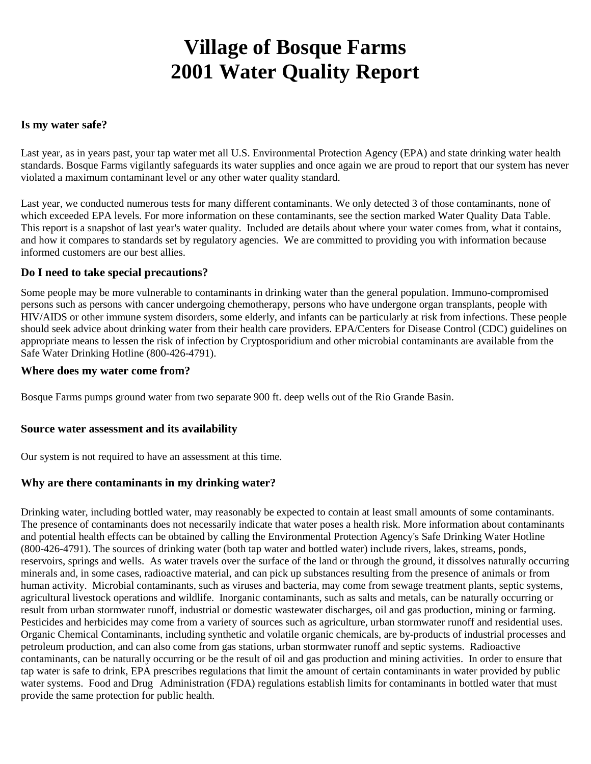# **Village of Bosque Farms 2001 Water Quality Report**

#### **Is my water safe?**

Last year, as in years past, your tap water met all U.S. Environmental Protection Agency (EPA) and state drinking water health standards. Bosque Farms vigilantly safeguards its water supplies and once again we are proud to report that our system has never violated a maximum contaminant level or any other water quality standard.

Last year, we conducted numerous tests for many different contaminants. We only detected 3 of those contaminants, none of which exceeded EPA levels. For more information on these contaminants, see the section marked Water Quality Data Table. This report is a snapshot of last year's water quality. Included are details about where your water comes from, what it contains, and how it compares to standards set by regulatory agencies. We are committed to providing you with information because informed customers are our best allies.

#### **Do I need to take special precautions?**

Some people may be more vulnerable to contaminants in drinking water than the general population. Immuno-compromised persons such as persons with cancer undergoing chemotherapy, persons who have undergone organ transplants, people with HIV/AIDS or other immune system disorders, some elderly, and infants can be particularly at risk from infections. These people should seek advice about drinking water from their health care providers. EPA/Centers for Disease Control (CDC) guidelines on appropriate means to lessen the risk of infection by Cryptosporidium and other microbial contaminants are available from the Safe Water Drinking Hotline (800-426-4791).

#### **Where does my water come from?**

Bosque Farms pumps ground water from two separate 900 ft. deep wells out of the Rio Grande Basin.

### **Source water assessment and its availability**

Our system is not required to have an assessment at this time.

### **Why are there contaminants in my drinking water?**

Drinking water, including bottled water, may reasonably be expected to contain at least small amounts of some contaminants. The presence of contaminants does not necessarily indicate that water poses a health risk. More information about contaminants and potential health effects can be obtained by calling the Environmental Protection Agency's Safe Drinking Water Hotline (800-426-4791). The sources of drinking water (both tap water and bottled water) include rivers, lakes, streams, ponds, reservoirs, springs and wells. As water travels over the surface of the land or through the ground, it dissolves naturally occurring minerals and, in some cases, radioactive material, and can pick up substances resulting from the presence of animals or from human activity. Microbial contaminants, such as viruses and bacteria, may come from sewage treatment plants, septic systems, agricultural livestock operations and wildlife. Inorganic contaminants, such as salts and metals, can be naturally occurring or result from urban stormwater runoff, industrial or domestic wastewater discharges, oil and gas production, mining or farming. Pesticides and herbicides may come from a variety of sources such as agriculture, urban stormwater runoff and residential uses. Organic Chemical Contaminants, including synthetic and volatile organic chemicals, are by-products of industrial processes and petroleum production, and can also come from gas stations, urban stormwater runoff and septic systems. Radioactive contaminants, can be naturally occurring or be the result of oil and gas production and mining activities. In order to ensure that tap water is safe to drink, EPA prescribes regulations that limit the amount of certain contaminants in water provided by public water systems. Food and Drug Administration (FDA) regulations establish limits for contaminants in bottled water that must provide the same protection for public health.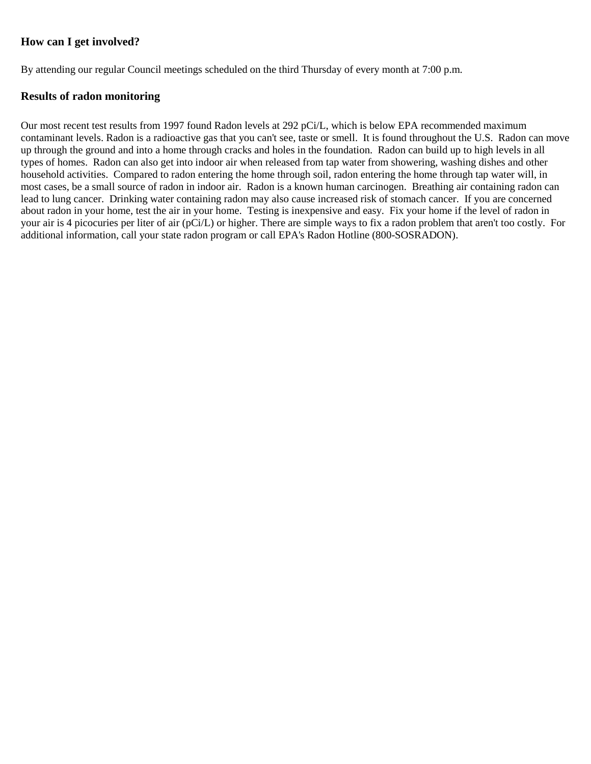## **How can I get involved?**

By attending our regular Council meetings scheduled on the third Thursday of every month at 7:00 p.m.

### **Results of radon monitoring**

Our most recent test results from 1997 found Radon levels at 292 pCi/L, which is below EPA recommended maximum contaminant levels. Radon is a radioactive gas that you can't see, taste or smell. It is found throughout the U.S. Radon can move up through the ground and into a home through cracks and holes in the foundation. Radon can build up to high levels in all types of homes. Radon can also get into indoor air when released from tap water from showering, washing dishes and other household activities. Compared to radon entering the home through soil, radon entering the home through tap water will, in most cases, be a small source of radon in indoor air. Radon is a known human carcinogen. Breathing air containing radon can lead to lung cancer. Drinking water containing radon may also cause increased risk of stomach cancer. If you are concerned about radon in your home, test the air in your home. Testing is inexpensive and easy. Fix your home if the level of radon in your air is 4 picocuries per liter of air (pCi/L) or higher. There are simple ways to fix a radon problem that aren't too costly. For additional information, call your state radon program or call EPA's Radon Hotline (800-SOSRADON).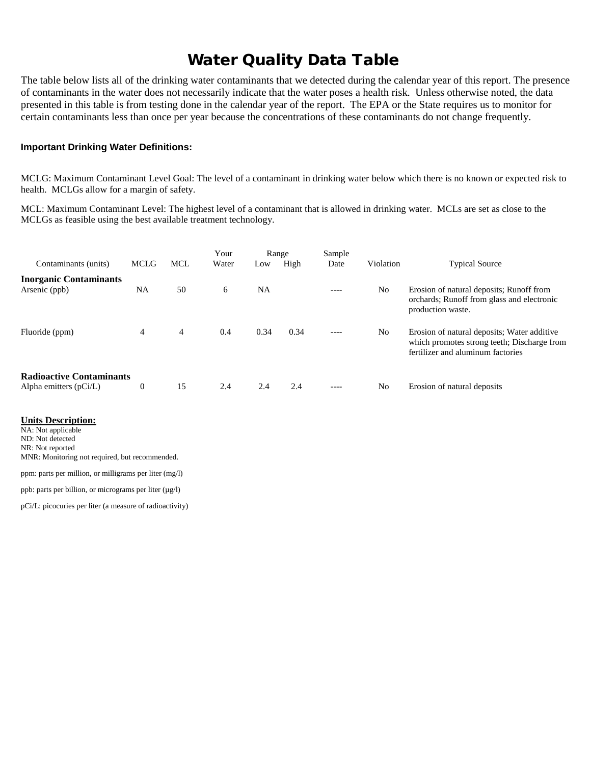# Water Quality Data Table

The table below lists all of the drinking water contaminants that we detected during the calendar year of this report. The presence of contaminants in the water does not necessarily indicate that the water poses a health risk. Unless otherwise noted, the data presented in this table is from testing done in the calendar year of the report. The EPA or the State requires us to monitor for certain contaminants less than once per year because the concentrations of these contaminants do not change frequently.

#### **Important Drinking Water Definitions:**

MCLG: Maximum Contaminant Level Goal: The level of a contaminant in drinking water below which there is no known or expected risk to health. MCLGs allow for a margin of safety.

MCL: Maximum Contaminant Level: The highest level of a contaminant that is allowed in drinking water. MCLs are set as close to the MCLGs as feasible using the best available treatment technology.

| Contaminants (units)                                        | <b>MCLG</b>      | <b>MCL</b> | Your<br>Water | Range |      | Sample    |                |                                                                                                                                 |
|-------------------------------------------------------------|------------------|------------|---------------|-------|------|-----------|----------------|---------------------------------------------------------------------------------------------------------------------------------|
|                                                             |                  |            |               | Low   | High | Date      | Violation      | <b>Typical Source</b>                                                                                                           |
| <b>Inorganic Contaminants</b>                               |                  |            |               |       |      |           |                |                                                                                                                                 |
| Arsenic (ppb)                                               | NA               | 50         | 6             | NA    |      | ----      | N <sub>0</sub> | Erosion of natural deposits; Runoff from<br>orchards; Runoff from glass and electronic<br>production waste.                     |
| Fluoride (ppm)                                              | 4                | 4          | 0.4           | 0.34  | 0.34 | $- - - -$ | N <sub>0</sub> | Erosion of natural deposits; Water additive<br>which promotes strong teeth; Discharge from<br>fertilizer and aluminum factories |
| <b>Radioactive Contaminants</b><br>Alpha emitters $(pCi/L)$ | $\boldsymbol{0}$ | 15         | 2.4           | 2.4   | 2.4  | $- - - -$ | N <sub>0</sub> | Erosion of natural deposits                                                                                                     |

#### **Units Description:**

NA: Not applicable ND: Not detected NR: Not reported MNR: Monitoring not required, but recommended.

ppm: parts per million, or milligrams per liter (mg/l)

ppb: parts per billion, or micrograms per liter  $(\mu g/l)$ 

pCi/L: picocuries per liter (a measure of radioactivity)